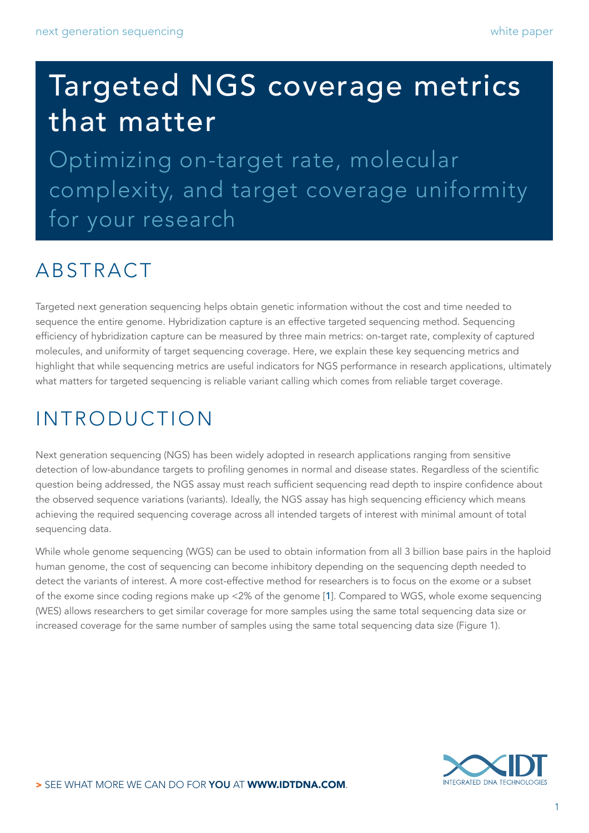# Targeted NGS coverage metrics that matter

Optimizing on-target rate, molecular complexity, and target coverage uniformity for your research

## ABSTRACT

Targeted next generation sequencing helps obtain genetic information without the cost and time needed to sequence the entire genome. Hybridization capture is an effective targeted sequencing method. Sequencing efficiency of hybridization capture can be measured by three main metrics: on-target rate, complexity of captured molecules, and uniformity of target sequencing coverage. Here, we explain these key sequencing metrics and highlight that while sequencing metrics are useful indicators for NGS performance in research applications, ultimately what matters for targeted sequencing is reliable variant calling which comes from reliable target coverage.

# INTRODUCTION

Next generation sequencing (NGS) has been widely adopted in research applications ranging from sensitive detection of low-abundance targets to profiling genomes in normal and disease states. Regardless of the scientific question being addressed, the NGS assay must reach sufficient sequencing read depth to inspire confidence about the observed sequence variations (variants). Ideally, the NGS assay has high sequencing efficiency which means achieving the required sequencing coverage across all intended targets of interest with minimal amount of total sequencing data.

While whole genome sequencing (WGS) can be used to obtain information from all 3 billion base pairs in the haploid human genome, the cost of sequencing can become inhibitory depending on the sequencing depth needed to detect the variants of interest. A more cost-effective method for researchers is to focus on the exome or a subset of the exome since coding regions make up <2% of the genome [[1](#page-7-0)]. Compared to WGS, whole exome sequencing (WES) allows researchers to get similar coverage for more samples using the same total sequencing data size or increased coverage for the same number of samples using the same total sequencing data size (Figure 1).

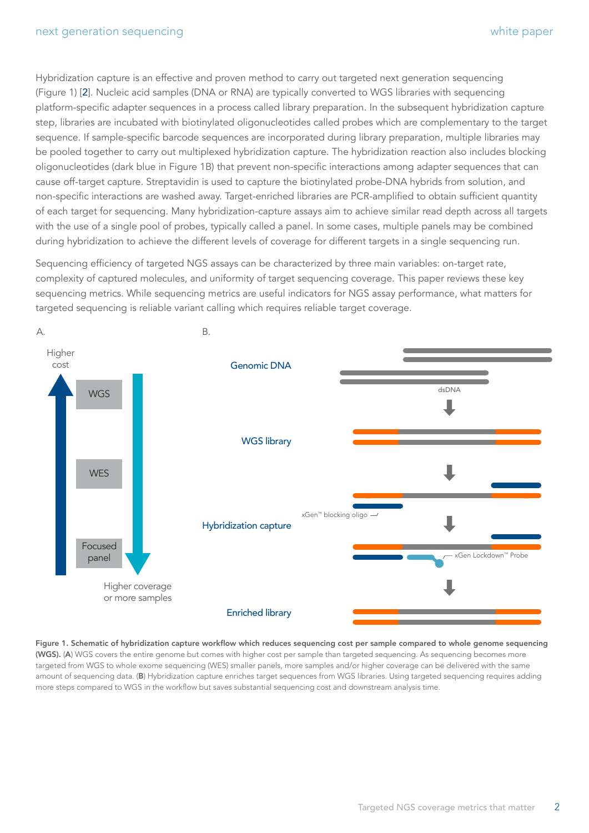Hybridization capture is an effective and proven method to carry out targeted next generation sequencing (Figure 1) [[2](#page-7-1)]. Nucleic acid samples (DNA or RNA) are typically converted to WGS libraries with sequencing platform-specific adapter sequences in a process called library preparation. In the subsequent hybridization capture step, libraries are incubated with biotinylated oligonucleotides called probes which are complementary to the target sequence. If sample-specific barcode sequences are incorporated during library preparation, multiple libraries may be pooled together to carry out multiplexed hybridization capture. The hybridization reaction also includes blocking oligonucleotides (dark blue in Figure 1B) that prevent non-specific interactions among adapter sequences that can cause off-target capture. Streptavidin is used to capture the biotinylated probe-DNA hybrids from solution, and non-specific interactions are washed away. Target-enriched libraries are PCR-amplified to obtain sufficient quantity of each target for sequencing. Many hybridization-capture assays aim to achieve similar read depth across all targets with the use of a single pool of probes, typically called a panel. In some cases, multiple panels may be combined during hybridization to achieve the different levels of coverage for different targets in a single sequencing run.

Sequencing efficiency of targeted NGS assays can be characterized by three main variables: on-target rate, complexity of captured molecules, and uniformity of target sequencing coverage. This paper reviews these key sequencing metrics. While sequencing metrics are useful indicators for NGS assay performance, what matters for targeted sequencing is reliable variant calling which requires reliable target coverage.



Figure 1. Schematic of hybridization capture workflow which reduces sequencing cost per sample compared to whole genome sequencing (WGS). (A) WGS covers the entire genome but comes with higher cost per sample than targeted sequencing. As sequencing becomes more targeted from WGS to whole exome sequencing (WES) smaller panels, more samples and/or higher coverage can be delivered with the same amount of sequencing data. (B) Hybridization capture enriches target sequences from WGS libraries. Using targeted sequencing requires adding more steps compared to WGS in the workflow but saves substantial sequencing cost and downstream analysis time.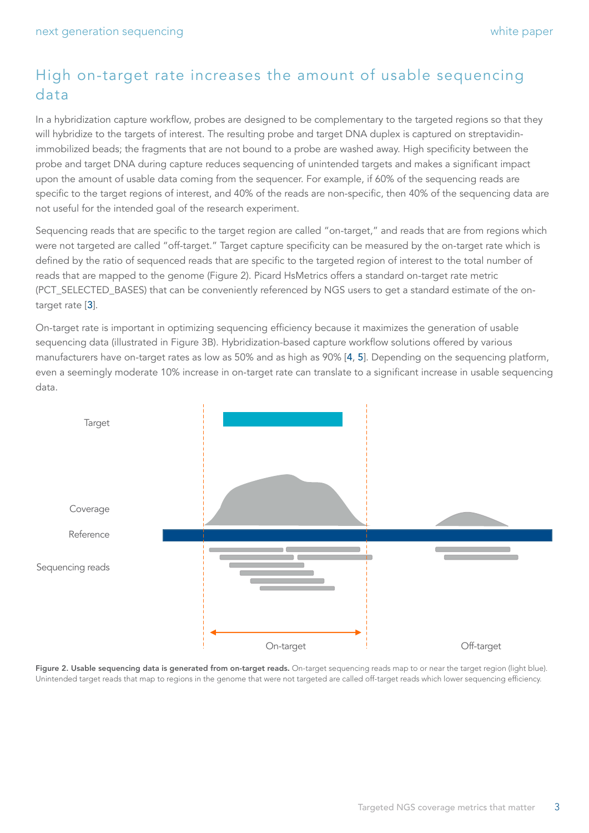## High on-target rate increases the amount of usable sequencing data

In a hybridization capture workflow, probes are designed to be complementary to the targeted regions so that they will hybridize to the targets of interest. The resulting probe and target DNA duplex is captured on streptavidinimmobilized beads; the fragments that are not bound to a probe are washed away. High specificity between the probe and target DNA during capture reduces sequencing of unintended targets and makes a significant impact upon the amount of usable data coming from the sequencer. For example, if 60% of the sequencing reads are specific to the target regions of interest, and 40% of the reads are non-specific, then 40% of the sequencing data are not useful for the intended goal of the research experiment.

Sequencing reads that are specific to the target region are called "on-target," and reads that are from regions which were not targeted are called "off-target." Target capture specificity can be measured by the on-target rate which is defined by the ratio of sequenced reads that are specific to the targeted region of interest to the total number of reads that are mapped to the genome (Figure 2). Picard HsMetrics offers a standard on-target rate metric (PCT\_SELECTED\_BASES) that can be conveniently referenced by NGS users to get a standard estimate of the ontarget rate [[3](#page-7-2)].

On-target rate is important in optimizing sequencing efficiency because it maximizes the generation of usable sequencing data (illustrated in Figure 3B). Hybridization-based capture workflow solutions offered by various manufacturers have on-target rates as low as 50% and as high as 90% [[4](#page-7-3), [5](#page-7-4)]. Depending on the sequencing platform, even a seemingly moderate 10% increase in on-target rate can translate to a significant increase in usable sequencing data.



Figure 2. Usable sequencing data is generated from on-target reads. On-target sequencing reads map to or near the target region (light blue). Unintended target reads that map to regions in the genome that were not targeted are called off-target reads which lower sequencing efficiency.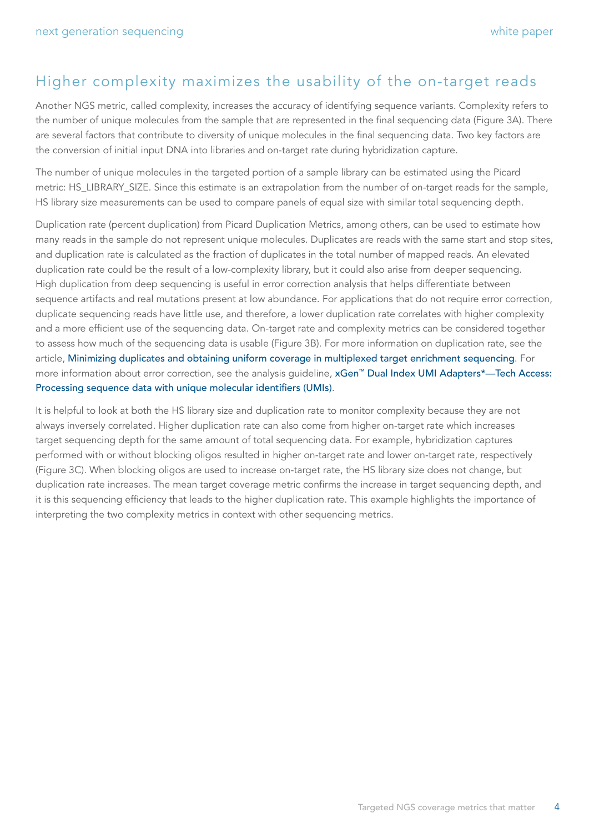### Higher complexity maximizes the usability of the on-target reads

Another NGS metric, called complexity, increases the accuracy of identifying sequence variants. Complexity refers to the number of unique molecules from the sample that are represented in the final sequencing data (Figure 3A). There are several factors that contribute to diversity of unique molecules in the final sequencing data. Two key factors are the conversion of initial input DNA into libraries and on-target rate during hybridization capture.

The number of unique molecules in the targeted portion of a sample library can be estimated using the Picard metric: HS\_LIBRARY\_SIZE. Since this estimate is an extrapolation from the number of on-target reads for the sample, HS library size measurements can be used to compare panels of equal size with similar total sequencing depth.

Duplication rate (percent duplication) from Picard Duplication Metrics, among others, can be used to estimate how many reads in the sample do not represent unique molecules. Duplicates are reads with the same start and stop sites, and duplication rate is calculated as the fraction of duplicates in the total number of mapped reads. An elevated duplication rate could be the result of a low-complexity library, but it could also arise from deeper sequencing. High duplication from deep sequencing is useful in error correction analysis that helps differentiate between sequence artifacts and real mutations present at low abundance. For applications that do not require error correction, duplicate sequencing reads have little use, and therefore, a lower duplication rate correlates with higher complexity and a more efficient use of the sequencing data. On-target rate and complexity metrics can be considered together to assess how much of the sequencing data is usable (Figure 3B). For more information on duplication rate, see the article, [Minimizing duplicates and obtaining uniform coverage in multiplexed target enrichment sequencing](https://www.idtdna.com/pages/education/decoded/article/minimizing-duplicates-and-obtaining-uniform-coverage-in-multiplexed-target-enrichment-sequencing). For more information about error correction, see the analysis guideline, [xGen™ Dual Index UMI Adapters\\*—Tech Access:](https://sfvideo.blob.core.windows.net/sitefinity/docs/default-source/user-guide-manual/analysis-guideline-variant-calling-data-with-umis.pdf?sfvrsn=d0aa3207_32)  [Processing sequence data with unique molecular identifiers \(UMIs\)](https://sfvideo.blob.core.windows.net/sitefinity/docs/default-source/user-guide-manual/analysis-guideline-variant-calling-data-with-umis.pdf?sfvrsn=d0aa3207_32).

It is helpful to look at both the HS library size and duplication rate to monitor complexity because they are not always inversely correlated. Higher duplication rate can also come from higher on-target rate which increases target sequencing depth for the same amount of total sequencing data. For example, hybridization captures performed with or without blocking oligos resulted in higher on-target rate and lower on-target rate, respectively (Figure 3C). When blocking oligos are used to increase on-target rate, the HS library size does not change, but duplication rate increases. The mean target coverage metric confirms the increase in target sequencing depth, and it is this sequencing efficiency that leads to the higher duplication rate. This example highlights the importance of interpreting the two complexity metrics in context with other sequencing metrics.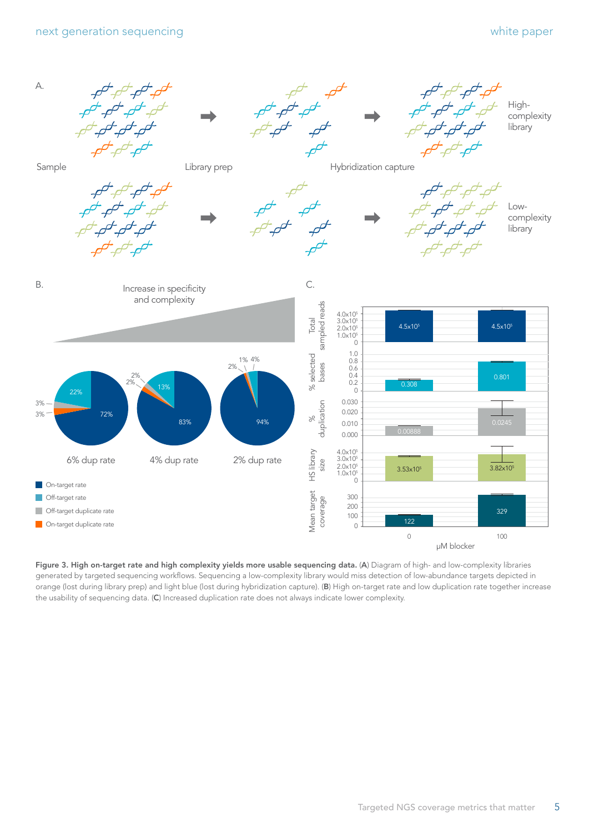

Figure 3. High on-target rate and high complexity yields more usable sequencing data. (A) Diagram of high- and low-complexity libraries generated by targeted sequencing workflows. Sequencing a low-complexity library would miss detection of low-abundance targets depicted in orange (lost during library prep) and light blue (lost during hybridization capture). (B) High on-target rate and low duplication rate together increase the usability of sequencing data. (C) Increased duplication rate does not always indicate lower complexity.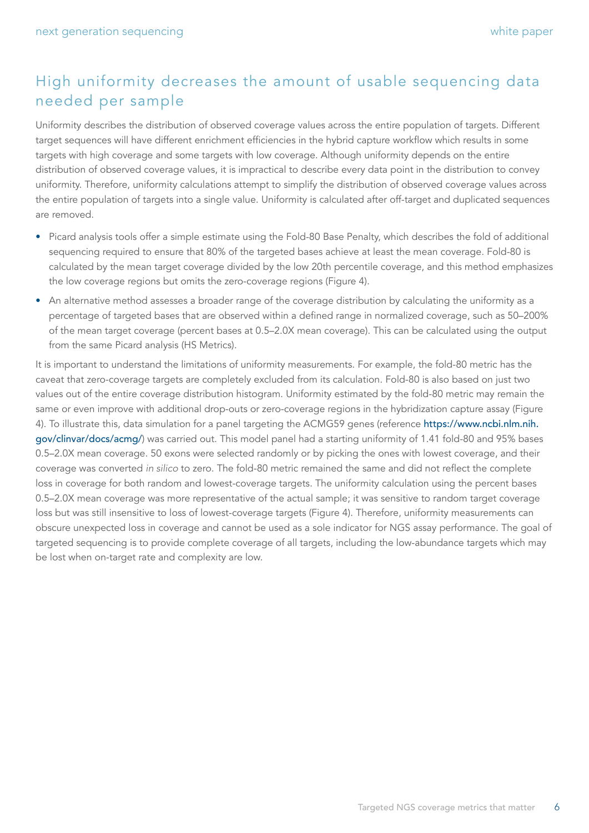## High uniformity decreases the amount of usable sequencing data needed per sample

Uniformity describes the distribution of observed coverage values across the entire population of targets. Different target sequences will have different enrichment efficiencies in the hybrid capture workflow which results in some targets with high coverage and some targets with low coverage. Although uniformity depends on the entire distribution of observed coverage values, it is impractical to describe every data point in the distribution to convey uniformity. Therefore, uniformity calculations attempt to simplify the distribution of observed coverage values across the entire population of targets into a single value. Uniformity is calculated after off-target and duplicated sequences are removed.

- Picard analysis tools offer a simple estimate using the Fold-80 Base Penalty, which describes the fold of additional sequencing required to ensure that 80% of the targeted bases achieve at least the mean coverage. Fold-80 is calculated by the mean target coverage divided by the low 20th percentile coverage, and this method emphasizes the low coverage regions but omits the zero-coverage regions (Figure 4).
- An alternative method assesses a broader range of the coverage distribution by calculating the uniformity as a percentage of targeted bases that are observed within a defined range in normalized coverage, such as 50–200% of the mean target coverage (percent bases at 0.5–2.0X mean coverage). This can be calculated using the output from the same Picard analysis (HS Metrics).

It is important to understand the limitations of uniformity measurements. For example, the fold-80 metric has the caveat that zero-coverage targets are completely excluded from its calculation. Fold-80 is also based on just two values out of the entire coverage distribution histogram. Uniformity estimated by the fold-80 metric may remain the same or even improve with additional drop-outs or zero-coverage regions in the hybridization capture assay (Figure 4). To illustrate this, data simulation for a panel targeting the ACMG59 genes (reference [https://www.ncbi.nlm.nih.](https://www.ncbi.nlm.nih.gov/clinvar/docs/acmg/) [gov/clinvar/docs/acmg/](https://www.ncbi.nlm.nih.gov/clinvar/docs/acmg/)) was carried out. This model panel had a starting uniformity of 1.41 fold-80 and 95% bases 0.5–2.0X mean coverage. 50 exons were selected randomly or by picking the ones with lowest coverage, and their coverage was converted *in silico* to zero. The fold-80 metric remained the same and did not reflect the complete loss in coverage for both random and lowest-coverage targets. The uniformity calculation using the percent bases 0.5–2.0X mean coverage was more representative of the actual sample; it was sensitive to random target coverage loss but was still insensitive to loss of lowest-coverage targets (Figure 4). Therefore, uniformity measurements can obscure unexpected loss in coverage and cannot be used as a sole indicator for NGS assay performance. The goal of targeted sequencing is to provide complete coverage of all targets, including the low-abundance targets which may be lost when on-target rate and complexity are low.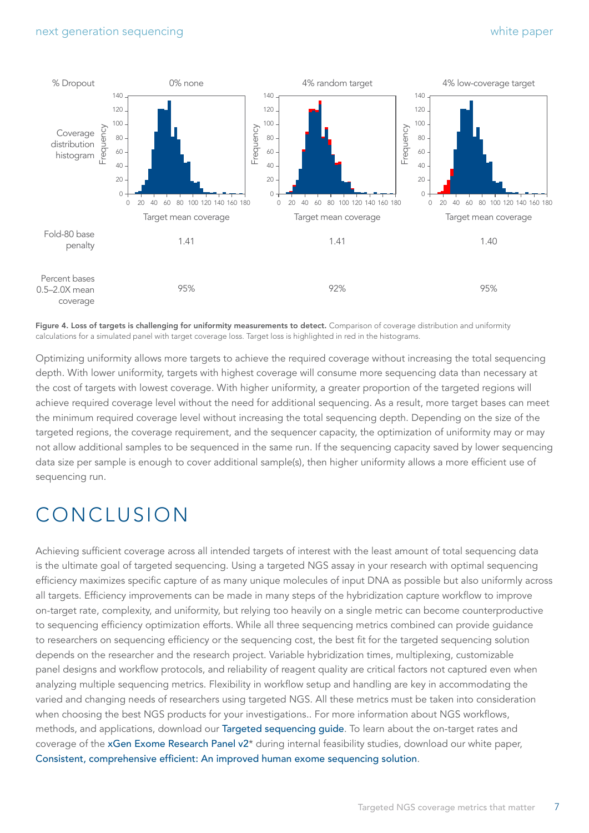

Figure 4. Loss of targets is challenging for uniformity measurements to detect. Comparison of coverage distribution and uniformity calculations for a simulated panel with target coverage loss. Target loss is highlighted in red in the histograms.

Optimizing uniformity allows more targets to achieve the required coverage without increasing the total sequencing depth. With lower uniformity, targets with highest coverage will consume more sequencing data than necessary at the cost of targets with lowest coverage. With higher uniformity, a greater proportion of the targeted regions will achieve required coverage level without the need for additional sequencing. As a result, more target bases can meet the minimum required coverage level without increasing the total sequencing depth. Depending on the size of the targeted regions, the coverage requirement, and the sequencer capacity, the optimization of uniformity may or may not allow additional samples to be sequenced in the same run. If the sequencing capacity saved by lower sequencing data size per sample is enough to cover additional sample(s), then higher uniformity allows a more efficient use of sequencing run.

## CONCLUSION

Achieving sufficient coverage across all intended targets of interest with the least amount of total sequencing data is the ultimate goal of targeted sequencing. Using a targeted NGS assay in your research with optimal sequencing efficiency maximizes specific capture of as many unique molecules of input DNA as possible but also uniformly across all targets. Efficiency improvements can be made in many steps of the hybridization capture workflow to improve on-target rate, complexity, and uniformity, but relying too heavily on a single metric can become counterproductive to sequencing efficiency optimization efforts. While all three sequencing metrics combined can provide guidance to researchers on sequencing efficiency or the sequencing cost, the best fit for the targeted sequencing solution depends on the researcher and the research project. Variable hybridization times, multiplexing, customizable panel designs and workflow protocols, and reliability of reagent quality are critical factors not captured even when analyzing multiple sequencing metrics. Flexibility in workflow setup and handling are key in accommodating the varied and changing needs of researchers using targeted NGS. All these metrics must be taken into consideration when choosing the best NGS products for your investigations.. For more information about NGS workflows, methods, and applications, download our [Targeted sequencing guide](https://go.idtdna.com/targeted101-app-guide.html). To learn about the on-target rates and coverage of the [xGen Exome Research Panel v2](https://www.idtdna.com/pages/products/next-generation-sequencing/hybridization-capture/lockdown-panels/xgen-exome-research-panel-v2)\* during internal feasibility studies, download our white paper, [Consistent, comprehensive efficient: An improved human exome sequencing solution](https://go.idtdna.com/exome-v2-whitepaper.html).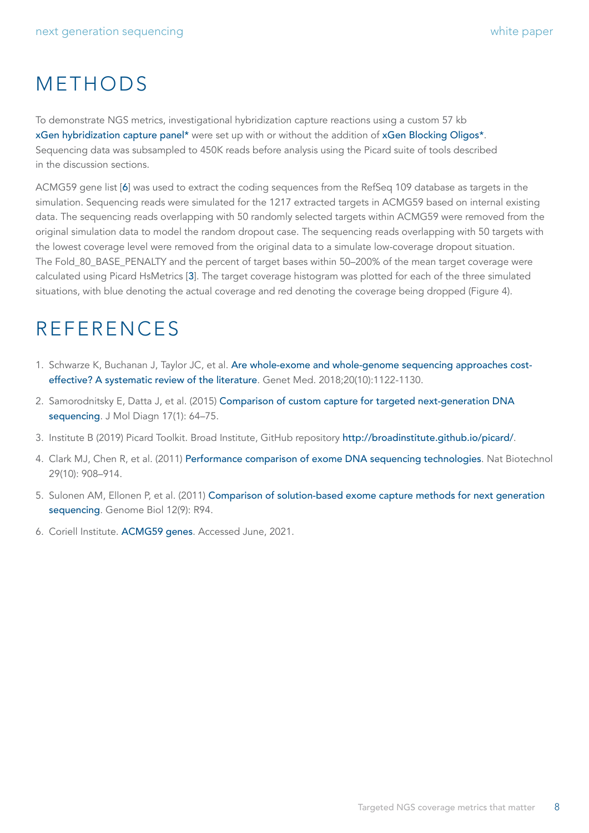## METHODS

To demonstrate NGS metrics, investigational hybridization capture reactions using a custom 57 kb [xGen hybridization capture panel](https://www.idtdna.com/pages/products/next-generation-sequencing/hybridization-capture/custom-probes-panels/xgen-lockdown-probes)\* were set up with or without the addition of [xGen Blocking Oligos\\*](https://www.idtdna.com/pages/products/next-generation-sequencing/hybridization-capture/blockers/blocking-oligos). Sequencing data was subsampled to 450K reads before analysis using the Picard suite of tools described in the discussion sections.

ACMG59 gene list [6] was used to extract the coding sequences from the RefSeq 109 database as targets in the simulation. Sequencing reads were simulated for the 1217 extracted targets in ACMG59 based on internal existing data. The sequencing reads overlapping with 50 randomly selected targets within ACMG59 were removed from the original simulation data to model the random dropout case. The sequencing reads overlapping with 50 targets with the lowest coverage level were removed from the original data to a simulate low-coverage dropout situation. The Fold\_80\_BASE\_PENALTY and the percent of target bases within 50–200% of the mean target coverage were calculated using Picard HsMetrics [[3](#page-7-2)]. The target coverage histogram was plotted for each of the three simulated situations, with blue denoting the actual coverage and red denoting the coverage being dropped (Figure 4).

## REFERENCES

- <span id="page-7-0"></span>1. Schwarze K, Buchanan J, Taylor JC, et al. [Are whole-exome and whole-genome sequencing approaches cost](https://pubmed.ncbi.nlm.nih.gov/29446766/)[effective? A systematic review of the literature](https://pubmed.ncbi.nlm.nih.gov/29446766/). Genet Med. 2018;20(10):1122-1130.
- <span id="page-7-1"></span>2. Samorodnitsky E, Datta J, et al. (2015) [Comparison of custom capture for targeted next-generation DNA](https://pubmed.ncbi.nlm.nih.gov/25528188/)  [sequencing](https://pubmed.ncbi.nlm.nih.gov/25528188/). J Mol Diagn 17(1): 64-75.
- <span id="page-7-2"></span>3. Institute B (2019) Picard Toolkit. Broad Institute, GitHub repository <http://broadinstitute.github.io/picard/>.
- <span id="page-7-3"></span>4. Clark MJ, Chen R, et al. (2011) [Performance comparison of exome DNA sequencing technologies](https://pubmed.ncbi.nlm.nih.gov/21947028/). Nat Biotechnol 29(10): 908–914.
- <span id="page-7-4"></span>5. Sulonen AM, Ellonen P, et al. (2011) [Comparison of solution-based exome capture methods for next generation](https://pubmed.ncbi.nlm.nih.gov/21955854/)  [sequencing](https://pubmed.ncbi.nlm.nih.gov/21955854/). Genome Biol 12(9): R94.
- 6. Coriell Institute. [ACMG59 genes](https://www.coriell.org/1/NIGMS/Collections/ACMG-59-Genes). Accessed June, 2021.